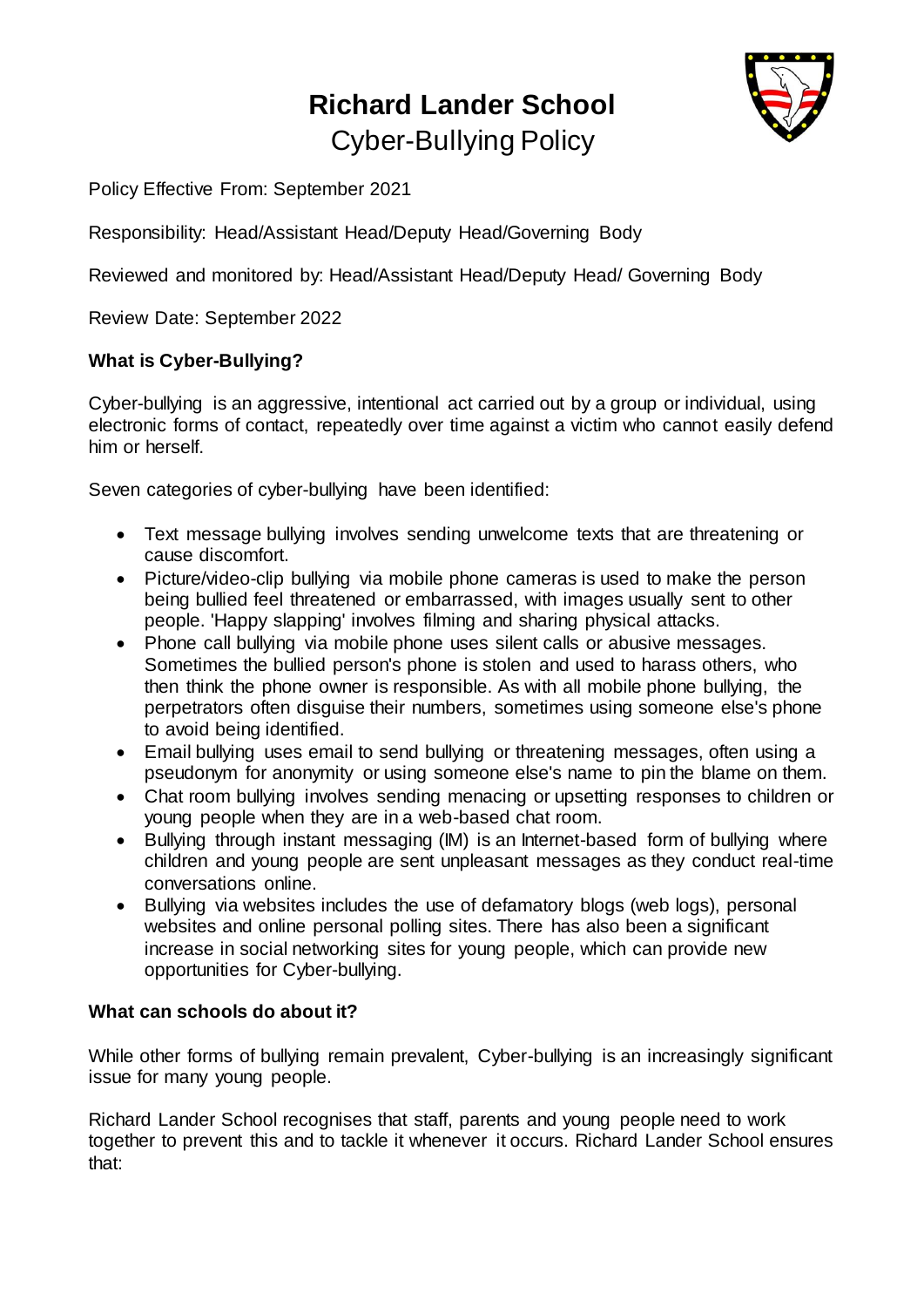## **Richard Lander School** Cyber-Bullying Policy



Policy Effective From: September 2021

Responsibility: Head/Assistant Head/Deputy Head/Governing Body

Reviewed and monitored by: Head/Assistant Head/Deputy Head/ Governing Body

Review Date: September 2022

## **What is Cyber-Bullying?**

Cyber-bullying is an aggressive, intentional act carried out by a group or individual, using electronic forms of contact, repeatedly over time against a victim who cannot easily defend him or herself.

Seven categories of cyber-bullying have been identified:

- Text message bullying involves sending unwelcome texts that are threatening or cause discomfort.
- Picture/video-clip bullying via mobile phone cameras is used to make the person being bullied feel threatened or embarrassed, with images usually sent to other people. 'Happy slapping' involves filming and sharing physical attacks.
- Phone call bullying via mobile phone uses silent calls or abusive messages. Sometimes the bullied person's phone is stolen and used to harass others, who then think the phone owner is responsible. As with all mobile phone bullying, the perpetrators often disguise their numbers, sometimes using someone else's phone to avoid being identified.
- Email bullying uses email to send bullying or threatening messages, often using a pseudonym for anonymity or using someone else's name to pin the blame on them.
- Chat room bullying involves sending menacing or upsetting responses to children or young people when they are in a web-based chat room.
- Bullying through instant messaging (IM) is an Internet-based form of bullying where children and young people are sent unpleasant messages as they conduct real-time conversations online.
- Bullying via websites includes the use of defamatory blogs (web logs), personal websites and online personal polling sites. There has also been a significant increase in social networking sites for young people, which can provide new opportunities for Cyber-bullying.

## **What can schools do about it?**

While other forms of bullying remain prevalent, Cyber-bullying is an increasingly significant issue for many young people.

Richard Lander School recognises that staff, parents and young people need to work together to prevent this and to tackle it whenever it occurs. Richard Lander School ensures that: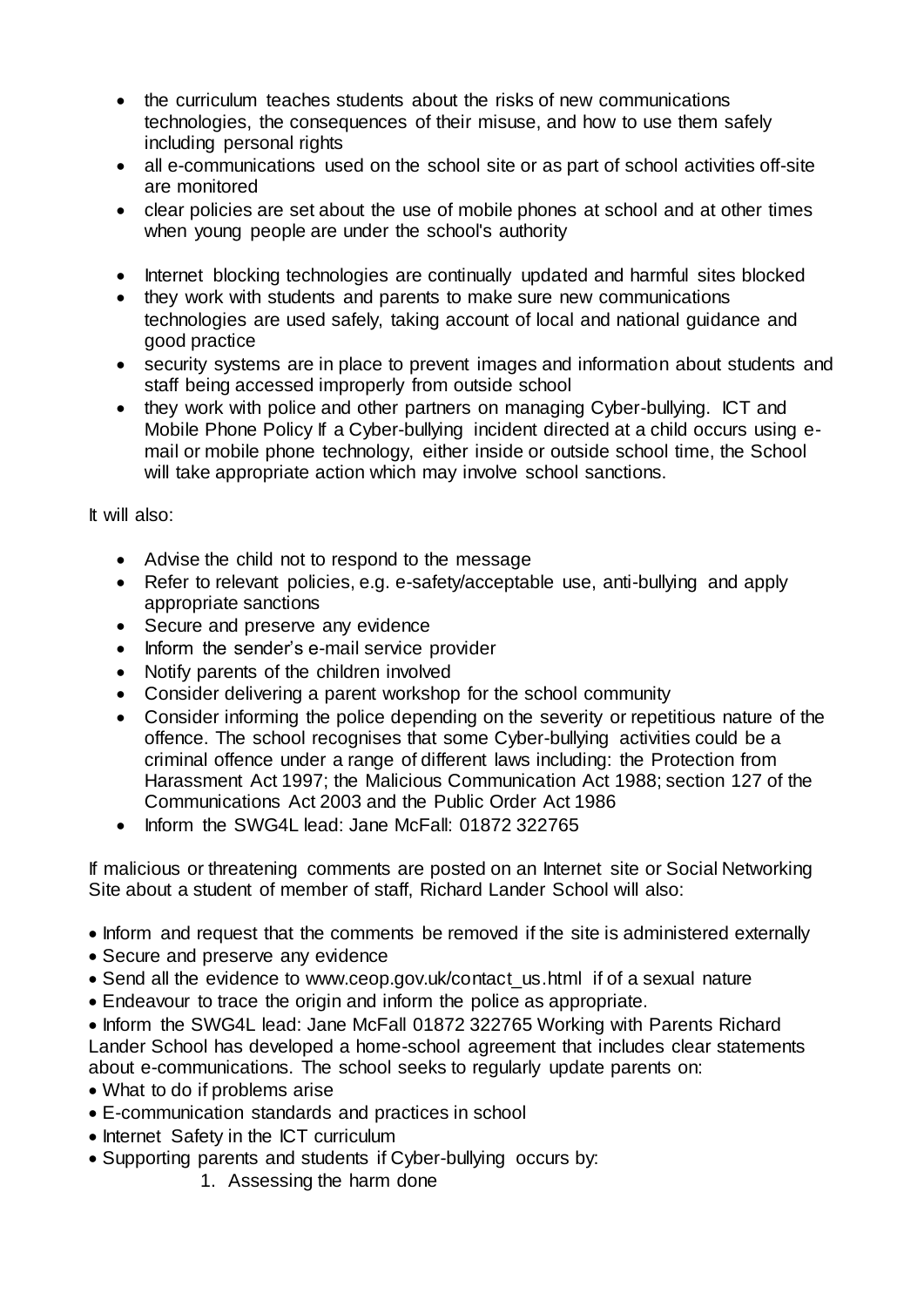- the curriculum teaches students about the risks of new communications technologies, the consequences of their misuse, and how to use them safely including personal rights
- all e-communications used on the school site or as part of school activities off-site are monitored
- clear policies are set about the use of mobile phones at school and at other times when young people are under the school's authority
- Internet blocking technologies are continually updated and harmful sites blocked
- they work with students and parents to make sure new communications technologies are used safely, taking account of local and national guidance and good practice
- security systems are in place to prevent images and information about students and staff being accessed improperly from outside school
- they work with police and other partners on managing Cyber-bullying. ICT and Mobile Phone Policy If a Cyber-bullying incident directed at a child occurs using email or mobile phone technology, either inside or outside school time, the School will take appropriate action which may involve school sanctions.

It will also:

- Advise the child not to respond to the message
- Refer to relevant policies, e.g. e-safety/acceptable use, anti-bullying and apply appropriate sanctions
- Secure and preserve any evidence
- Inform the sender's e-mail service provider
- Notify parents of the children involved
- Consider delivering a parent workshop for the school community
- Consider informing the police depending on the severity or repetitious nature of the offence. The school recognises that some Cyber-bullying activities could be a criminal offence under a range of different laws including: the Protection from Harassment Act 1997; the Malicious Communication Act 1988; section 127 of the Communications Act 2003 and the Public Order Act 1986
- Inform the SWG4L lead: Jane McFall: 01872 322765

If malicious or threatening comments are posted on an Internet site or Social Networking Site about a student of member of staff, Richard Lander School will also:

- Inform and request that the comments be removed if the site is administered externally
- Secure and preserve any evidence
- Send all the evidence to www.ceop.gov.uk/contact us.html if of a sexual nature
- Endeavour to trace the origin and inform the police as appropriate.

• Inform the SWG4L lead: Jane McFall 01872 322765 Working with Parents Richard Lander School has developed a home-school agreement that includes clear statements about e-communications. The school seeks to regularly update parents on:

- What to do if problems arise
- E-communication standards and practices in school
- Internet Safety in the ICT curriculum
- Supporting parents and students if Cyber-bullying occurs by:
	- 1. Assessing the harm done